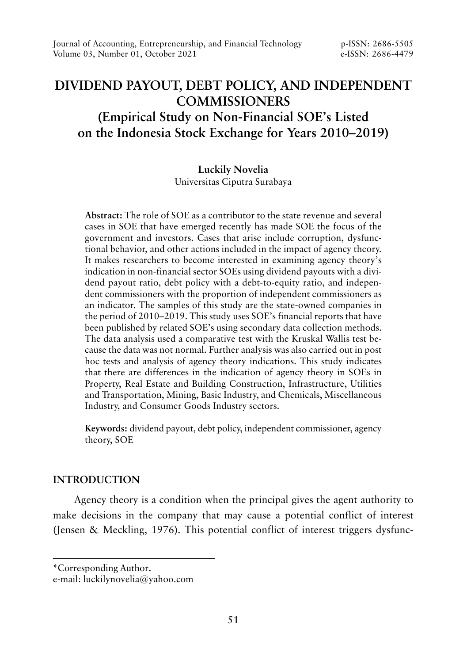# **DIVIDEND PAYOUT, DEBT POLICY, AND INDEPENDENT COMMISSIONERS (Empirical Study on Non-Financial SOE's Listed on the Indonesia Stock Exchange for Years 2010–2019)**

### **Luckily Novelia** Universitas Ciputra Surabaya

**Abstract:** The role of SOE as a contributor to the state revenue and several cases in SOE that have emerged recently has made SOE the focus of the government and investors. Cases that arise include corruption, dysfunctional behavior, and other actions included in the impact of agency theory. It makes researchers to become interested in examining agency theory's indication in non-financial sector SOEs using dividend payouts with a dividend payout ratio, debt policy with a debt-to-equity ratio, and independent commissioners with the proportion of independent commissioners as an indicator. The samples of this study are the state-owned companies in the period of 2010–2019. This study uses SOE's financial reports that have been published by related SOE's using secondary data collection methods. The data analysis used a comparative test with the Kruskal Wallis test because the data was not normal. Further analysis was also carried out in post hoc tests and analysis of agency theory indications. This study indicates that there are differences in the indication of agency theory in SOEs in Property, Real Estate and Building Construction, Infrastructure, Utilities and Transportation, Mining, Basic Industry, and Chemicals, Miscellaneous Industry, and Consumer Goods Industry sectors.

**Keywords:** dividend payout, debt policy, independent commissioner, agency theory, SOE

### **INTRODUCTION**

Agency theory is a condition when the principal gives the agent authority to make decisions in the company that may cause a potential conflict of interest (Jensen & Meckling, 1976). This potential conflict of interest triggers dysfunc-

<sup>\*</sup>Corresponding Author**.**

e-mail: luckilynovelia@yahoo.com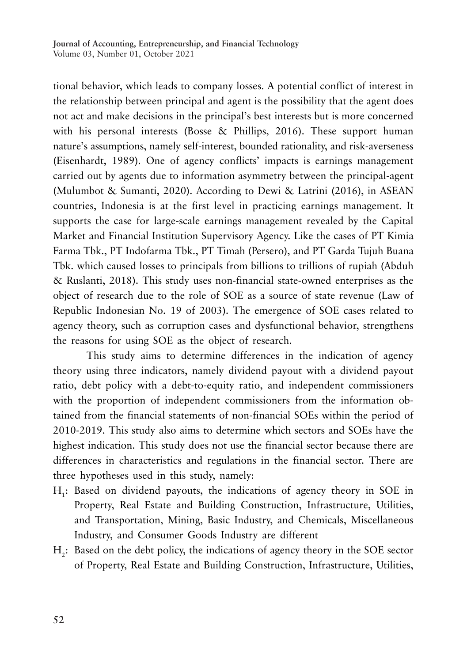tional behavior, which leads to company losses. A potential conflict of interest in the relationship between principal and agent is the possibility that the agent does not act and make decisions in the principal's best interests but is more concerned with his personal interests (Bosse & Phillips, 2016). These support human nature's assumptions, namely self-interest, bounded rationality, and risk-averseness (Eisenhardt, 1989). One of agency conflicts' impacts is earnings management carried out by agents due to information asymmetry between the principal-agent (Mulumbot & Sumanti, 2020). According to Dewi & Latrini (2016), in ASEAN countries, Indonesia is at the first level in practicing earnings management. It supports the case for large-scale earnings management revealed by the Capital Market and Financial Institution Supervisory Agency. Like the cases of PT Kimia Farma Tbk., PT Indofarma Tbk., PT Timah (Persero), and PT Garda Tujuh Buana Tbk. which caused losses to principals from billions to trillions of rupiah (Abduh & Ruslanti, 2018). This study uses non-financial state-owned enterprises as the object of research due to the role of SOE as a source of state revenue (Law of Republic Indonesian No. 19 of 2003). The emergence of SOE cases related to agency theory, such as corruption cases and dysfunctional behavior, strengthens the reasons for using SOE as the object of research.

This study aims to determine differences in the indication of agency theory using three indicators, namely dividend payout with a dividend payout ratio, debt policy with a debt-to-equity ratio, and independent commissioners with the proportion of independent commissioners from the information obtained from the financial statements of non-financial SOEs within the period of 2010-2019. This study also aims to determine which sectors and SOEs have the highest indication. This study does not use the financial sector because there are differences in characteristics and regulations in the financial sector. There are three hypotheses used in this study, namely:

- $H<sub>1</sub>$ : Based on dividend payouts, the indications of agency theory in SOE in Property, Real Estate and Building Construction, Infrastructure, Utilities, and Transportation, Mining, Basic Industry, and Chemicals, Miscellaneous Industry, and Consumer Goods Industry are different
- $\rm{H}_{2}$ : Based on the debt policy, the indications of agency theory in the SOE sector of Property, Real Estate and Building Construction, Infrastructure, Utilities,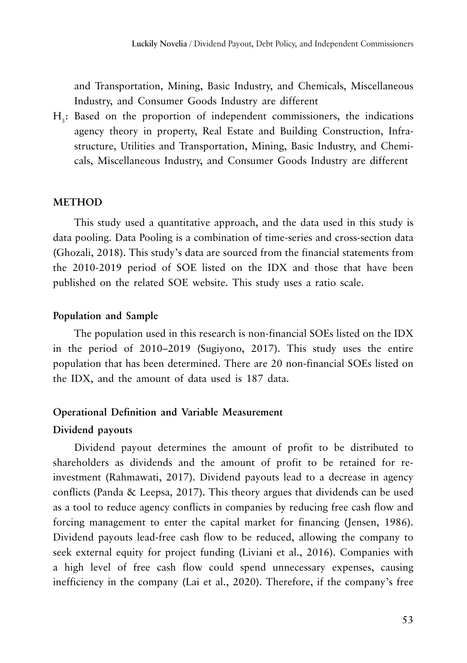and Transportation, Mining, Basic Industry, and Chemicals, Miscellaneous Industry, and Consumer Goods Industry are different

H<sub>3</sub>: Based on the proportion of independent commissioners, the indications agency theory in property, Real Estate and Building Construction, Infrastructure, Utilities and Transportation, Mining, Basic Industry, and Chemicals, Miscellaneous Industry, and Consumer Goods Industry are different

### **METHOD**

This study used a quantitative approach, and the data used in this study is data pooling. Data Pooling is a combination of time-series and cross-section data (Ghozali, 2018). This study's data are sourced from the financial statements from the 2010-2019 period of SOE listed on the IDX and those that have been published on the related SOE website. This study uses a ratio scale.

#### **Population and Sample**

The population used in this research is non-financial SOEs listed on the IDX in the period of 2010–2019 (Sugiyono, 2017). This study uses the entire population that has been determined. There are 20 non-financial SOEs listed on the IDX, and the amount of data used is 187 data.

### **Operational Definition and Variable Measurement**

### **Dividend payouts**

Dividend payout determines the amount of profit to be distributed to shareholders as dividends and the amount of profit to be retained for reinvestment (Rahmawati, 2017). Dividend payouts lead to a decrease in agency conflicts (Panda & Leepsa, 2017). This theory argues that dividends can be used as a tool to reduce agency conflicts in companies by reducing free cash flow and forcing management to enter the capital market for financing (Jensen, 1986). Dividend payouts lead-free cash flow to be reduced, allowing the company to seek external equity for project funding (Liviani et al., 2016). Companies with a high level of free cash flow could spend unnecessary expenses, causing inefficiency in the company (Lai et al., 2020). Therefore, if the company's free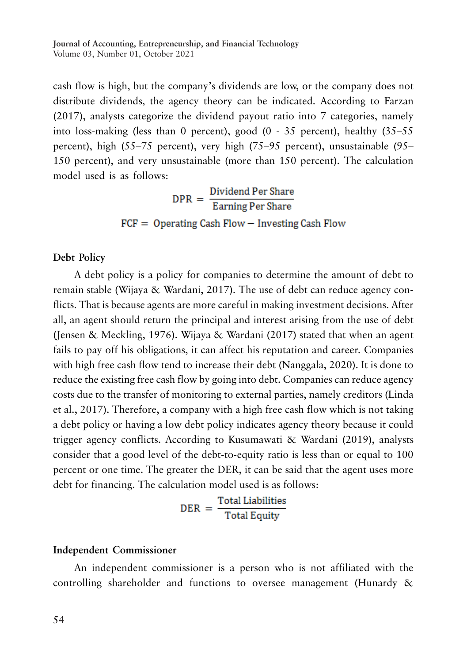cash flow is high, but the company's dividends are low, or the company does not distribute dividends, the agency theory can be indicated. According to Farzan (2017), analysts categorize the dividend payout ratio into 7 categories, namely into loss-making (less than 0 percent), good  $(0 - 35$  percent), healthy  $(35-55)$ percent), high (55–75 percent), very high (75–95 percent), unsustainable (95– 150 percent), and very unsustainable (more than 150 percent). The calculation model used is as follows:

> $\text{DPR} = \frac{\text{Dividend Per Share}}{\text{Earning Per Share}}$  $FCF =$  Operating Cash Flow - Investing Cash Flow

### **Debt Policy**

A debt policy is a policy for companies to determine the amount of debt to remain stable (Wijaya & Wardani, 2017). The use of debt can reduce agency conflicts. That is because agents are more careful in making investment decisions. After all, an agent should return the principal and interest arising from the use of debt (Jensen & Meckling, 1976). Wijaya & Wardani (2017) stated that when an agent fails to pay off his obligations, it can affect his reputation and career. Companies with high free cash flow tend to increase their debt (Nanggala, 2020). It is done to reduce the existing free cash flow by going into debt. Companies can reduce agency costs due to the transfer of monitoring to external parties, namely creditors (Linda et al., 2017). Therefore, a company with a high free cash flow which is not taking a debt policy or having a low debt policy indicates agency theory because it could trigger agency conflicts. According to Kusumawati & Wardani (2019), analysts consider that a good level of the debt-to-equity ratio is less than or equal to 100 percent or one time. The greater the DER, it can be said that the agent uses more debt for financing. The calculation model used is as follows:

 $DER = \frac{Total Liabilities}{Total Equity}$ 

#### **Independent Commissioner**

An independent commissioner is a person who is not affiliated with the controlling shareholder and functions to oversee management (Hunardy &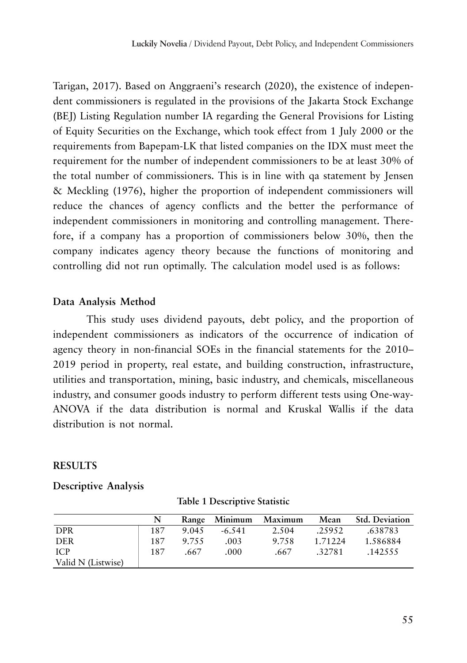Tarigan, 2017). Based on Anggraeni's research (2020), the existence of independent commissioners is regulated in the provisions of the Jakarta Stock Exchange (BEJ) Listing Regulation number IA regarding the General Provisions for Listing of Equity Securities on the Exchange, which took effect from 1 July 2000 or the requirements from Bapepam-LK that listed companies on the IDX must meet the requirement for the number of independent commissioners to be at least 30% of the total number of commissioners. This is in line with qa statement by Jensen & Meckling (1976), higher the proportion of independent commissioners will reduce the chances of agency conflicts and the better the performance of independent commissioners in monitoring and controlling management. Therefore, if a company has a proportion of commissioners below 30%, then the company indicates agency theory because the functions of monitoring and controlling did not run optimally. The calculation model used is as follows:

## **Data Analysis Method**

This study uses dividend payouts, debt policy, and the proportion of independent commissioners as indicators of the occurrence of indication of agency theory in non-financial SOEs in the financial statements for the 2010– 2019 period in property, real estate, and building construction, infrastructure, utilities and transportation, mining, basic industry, and chemicals, miscellaneous industry, and consumer goods industry to perform different tests using One-way-ANOVA if the data distribution is normal and Kruskal Wallis if the data distribution is not normal.

## **RESULTS**

## **Descriptive Analysis**

|                    |     |       | Range Minimum Maximum |       | Mean    | <b>Std. Deviation</b> |
|--------------------|-----|-------|-----------------------|-------|---------|-----------------------|
| <b>DPR</b>         | 187 | 9.045 | -6.541                | 2.504 | .25952  | .638783               |
| <b>DER</b>         | 187 | 9.755 | .003                  | 9.758 | 1.71224 | 1.586884              |
| ICP                | 187 | .667  | .000                  | .667  | .32781  | .142555               |
| Valid N (Listwise) |     |       |                       |       |         |                       |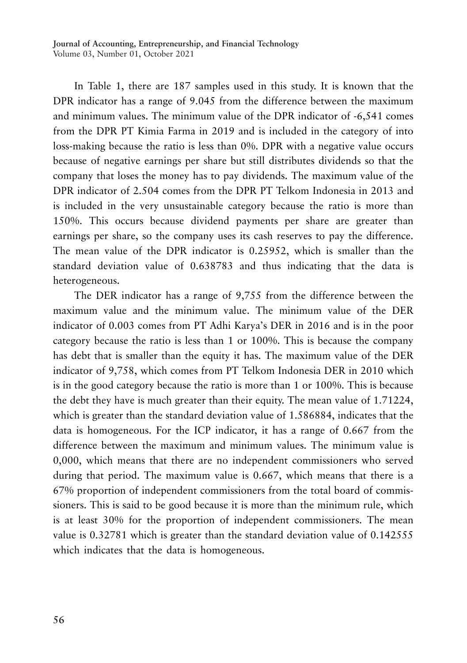In Table 1, there are 187 samples used in this study. It is known that the DPR indicator has a range of 9.045 from the difference between the maximum and minimum values. The minimum value of the DPR indicator of -6,541 comes from the DPR PT Kimia Farma in 2019 and is included in the category of into loss-making because the ratio is less than 0%. DPR with a negative value occurs because of negative earnings per share but still distributes dividends so that the company that loses the money has to pay dividends. The maximum value of the DPR indicator of 2.504 comes from the DPR PT Telkom Indonesia in 2013 and is included in the very unsustainable category because the ratio is more than 150%. This occurs because dividend payments per share are greater than earnings per share, so the company uses its cash reserves to pay the difference. The mean value of the DPR indicator is 0.25952, which is smaller than the standard deviation value of 0.638783 and thus indicating that the data is heterogeneous.

The DER indicator has a range of 9,755 from the difference between the maximum value and the minimum value. The minimum value of the DER indicator of 0.003 comes from PT Adhi Karya's DER in 2016 and is in the poor category because the ratio is less than 1 or 100%. This is because the company has debt that is smaller than the equity it has. The maximum value of the DER indicator of 9,758, which comes from PT Telkom Indonesia DER in 2010 which is in the good category because the ratio is more than 1 or 100%. This is because the debt they have is much greater than their equity. The mean value of 1.71224, which is greater than the standard deviation value of 1.586884, indicates that the data is homogeneous. For the ICP indicator, it has a range of 0.667 from the difference between the maximum and minimum values. The minimum value is 0,000, which means that there are no independent commissioners who served during that period. The maximum value is 0.667, which means that there is a 67% proportion of independent commissioners from the total board of commissioners. This is said to be good because it is more than the minimum rule, which is at least 30% for the proportion of independent commissioners. The mean value is 0.32781 which is greater than the standard deviation value of 0.142555 which indicates that the data is homogeneous.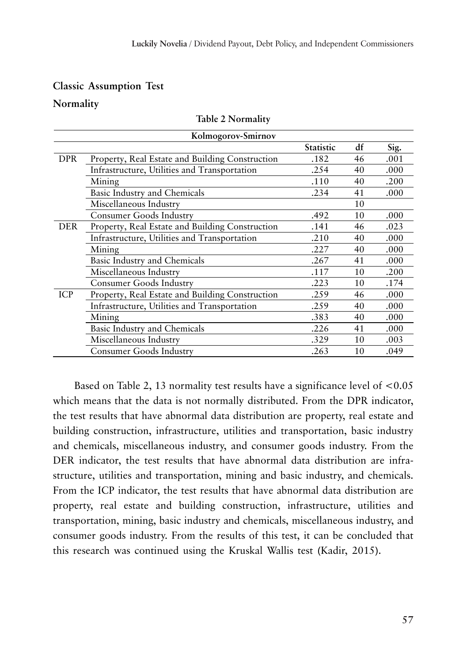### **Classic Assumption Test**

### **Normality**

|            | Kolmogorov-Smirnov                              |                  |    |      |
|------------|-------------------------------------------------|------------------|----|------|
|            |                                                 | <b>Statistic</b> | df | Sig. |
| DPR.       | Property, Real Estate and Building Construction | .182             | 46 | .001 |
|            | Infrastructure, Utilities and Transportation    | .254             | 40 | .000 |
|            | Mining                                          | .110             | 40 | .200 |
|            | Basic Industry and Chemicals                    | .234             | 41 | .000 |
|            | Miscellaneous Industry                          |                  | 10 |      |
|            | Consumer Goods Industry                         | .492             | 10 | .000 |
| DER.       | Property, Real Estate and Building Construction | .141             | 46 | .023 |
|            | Infrastructure, Utilities and Transportation    | .210             | 40 | .000 |
|            | Mining                                          | .227             | 40 | .000 |
|            | Basic Industry and Chemicals                    | .267             | 41 | .000 |
|            | Miscellaneous Industry                          | .117             | 10 | .200 |
|            | Consumer Goods Industry                         | .223             | 10 | .174 |
| <b>ICP</b> | Property, Real Estate and Building Construction | .259             | 46 | .000 |
|            | Infrastructure, Utilities and Transportation    | .259             | 40 | .000 |
|            | Mining                                          | .383             | 40 | .000 |
|            | Basic Industry and Chemicals                    | .226             | 41 | .000 |
|            | Miscellaneous Industry                          | .329             | 10 | .003 |
|            | Consumer Goods Industry                         | .263             | 10 | .049 |

#### **Table 2 Normality**

Based on Table 2, 13 normality test results have a significance level of  $\leq 0.05$ which means that the data is not normally distributed. From the DPR indicator, the test results that have abnormal data distribution are property, real estate and building construction, infrastructure, utilities and transportation, basic industry and chemicals, miscellaneous industry, and consumer goods industry. From the DER indicator, the test results that have abnormal data distribution are infrastructure, utilities and transportation, mining and basic industry, and chemicals. From the ICP indicator, the test results that have abnormal data distribution are property, real estate and building construction, infrastructure, utilities and transportation, mining, basic industry and chemicals, miscellaneous industry, and consumer goods industry. From the results of this test, it can be concluded that this research was continued using the Kruskal Wallis test (Kadir, 2015).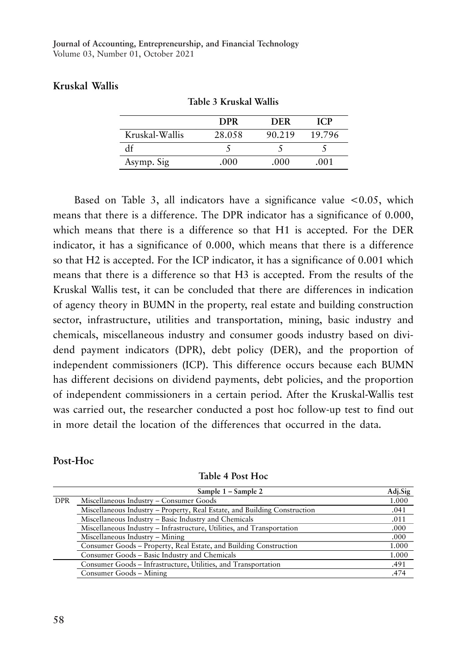### **Kruskal Wallis**

|                | <b>DPR</b> | <b>DER</b> | <b>ICP</b> |
|----------------|------------|------------|------------|
| Kruskal-Wallis | 28.058     | 90.219     | 19.796     |
| df             |            |            |            |
| Asymp. Sig     | .000       | .000       | $.001\,$   |

**Table 3 Kruskal Wallis**

Based on Table 3, all indicators have a significance value  $\lt 0.05$ , which means that there is a difference. The DPR indicator has a significance of 0.000, which means that there is a difference so that H1 is accepted. For the DER indicator, it has a significance of 0.000, which means that there is a difference so that H2 is accepted. For the ICP indicator, it has a significance of 0.001 which means that there is a difference so that H3 is accepted. From the results of the Kruskal Wallis test, it can be concluded that there are differences in indication of agency theory in BUMN in the property, real estate and building construction sector, infrastructure, utilities and transportation, mining, basic industry and chemicals, miscellaneous industry and consumer goods industry based on dividend payment indicators (DPR), debt policy (DER), and the proportion of independent commissioners (ICP). This difference occurs because each BUMN has different decisions on dividend payments, debt policies, and the proportion of independent commissioners in a certain period. After the Kruskal-Wallis test was carried out, the researcher conducted a post hoc follow-up test to find out in more detail the location of the differences that occurred in the data.

|            | Sample 1 – Sample 2                                                       | Adj.Sig |
|------------|---------------------------------------------------------------------------|---------|
| <b>DPR</b> | Miscellaneous Industry - Consumer Goods                                   | 1.000   |
|            | Miscellaneous Industry - Property, Real Estate, and Building Construction | .041    |
|            | Miscellaneous Industry - Basic Industry and Chemicals                     | .011    |
|            | Miscellaneous Industry – Infrastructure, Utilities, and Transportation    | .000    |
|            | Miscellaneous Industry – Mining                                           | .000    |
|            | Consumer Goods – Property, Real Estate, and Building Construction         | 1.000   |
|            | Consumer Goods – Basic Industry and Chemicals                             | 1.000   |
|            | Consumer Goods – Infrastructure, Utilities, and Transportation            | .491    |
|            | Consumer Goods – Mining                                                   | .474    |

### **Post-Hoc**

**Table 4 Post Hoc**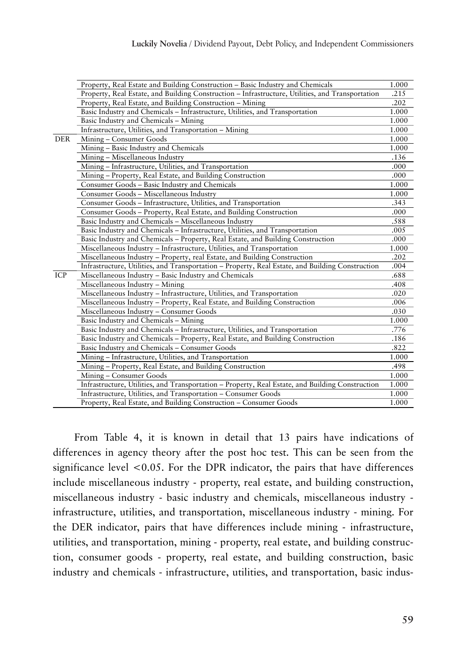|            | Property, Real Estate and Building Construction - Basic Industry and Chemicals                   | 1.000 |
|------------|--------------------------------------------------------------------------------------------------|-------|
|            | Property, Real Estate, and Building Construction – Infrastructure, Utilities, and Transportation | .215  |
|            | Property, Real Estate, and Building Construction – Mining                                        | .202  |
|            | Basic Industry and Chemicals - Infrastructure, Utilities, and Transportation                     | 1.000 |
|            | Basic Industry and Chemicals – Mining                                                            | 1.000 |
|            | Infrastructure, Utilities, and Transportation - Mining                                           | 1.000 |
| <b>DER</b> | Mining - Consumer Goods                                                                          | 1.000 |
|            | Mining - Basic Industry and Chemicals                                                            | 1.000 |
|            | Mining - Miscellaneous Industry                                                                  | .136  |
|            | Mining - Infrastructure, Utilities, and Transportation                                           | .000  |
|            | Mining - Property, Real Estate, and Building Construction                                        | .000  |
|            | Consumer Goods - Basic Industry and Chemicals                                                    | 1.000 |
|            | Consumer Goods - Miscellaneous Industry                                                          | 1.000 |
|            | Consumer Goods – Infrastructure, Utilities, and Transportation                                   | .343  |
|            | Consumer Goods – Property, Real Estate, and Building Construction                                | .000  |
|            | Basic Industry and Chemicals - Miscellaneous Industry                                            | .588  |
|            | Basic Industry and Chemicals - Infrastructure, Utilities, and Transportation                     | .005  |
|            | Basic Industry and Chemicals – Property, Real Estate, and Building Construction                  | .000  |
|            | Miscellaneous Industry - Infrastructure, Utilities, and Transportation                           | 1.000 |
|            | Miscellaneous Industry – Property, real Estate, and Building Construction                        | .202  |
|            | Infrastructure, Utilities, and Transportation – Property, Real Estate, and Building Construction | .004  |
| ICP        | Miscellaneous Industry – Basic Industry and Chemicals                                            | .688  |
|            | Miscellaneous Industry - Mining                                                                  | .408  |
|            | Miscellaneous Industry - Infrastructure, Utilities, and Transportation                           | .020  |
|            | Miscellaneous Industry – Property, Real Estate, and Building Construction                        | .006  |
|            | Miscellaneous Industry - Consumer Goods                                                          | .030  |
|            | Basic Industry and Chemicals - Mining                                                            | 1.000 |
|            | Basic Industry and Chemicals - Infrastructure, Utilities, and Transportation                     | .776  |
|            | Basic Industry and Chemicals – Property, Real Estate, and Building Construction                  | .186  |
|            | Basic Industry and Chemicals - Consumer Goods                                                    | .822  |
|            | Mining – Infrastructure, Utilities, and Transportation                                           | 1.000 |
|            | Mining – Property, Real Estate, and Building Construction                                        | .498  |
|            | Mining - Consumer Goods                                                                          | 1.000 |
|            | Infrastructure, Utilities, and Transportation – Property, Real Estate, and Building Construction | 1.000 |
|            | Infrastructure, Utilities, and Transportation - Consumer Goods                                   | 1.000 |
|            | Property, Real Estate, and Building Construction - Consumer Goods                                | 1.000 |

g

From Table 4, it is known in detail that 13 pairs have indications of differences in agency theory after the post hoc test. This can be seen from the significance level  $< 0.05$ . For the DPR indicator, the pairs that have differences include miscellaneous industry - property, real estate, and building construction, miscellaneous industry - basic industry and chemicals, miscellaneous industry infrastructure, utilities, and transportation, miscellaneous industry - mining. For the DER indicator, pairs that have differences include mining - infrastructure, utilities, and transportation, mining - property, real estate, and building construction, consumer goods - property, real estate, and building construction, basic industry and chemicals - infrastructure, utilities, and transportation, basic indus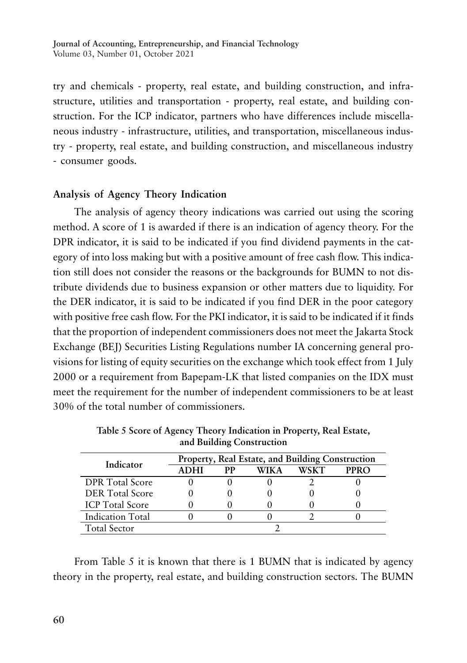try and chemicals - property, real estate, and building construction, and infrastructure, utilities and transportation - property, real estate, and building construction. For the ICP indicator, partners who have differences include miscellaneous industry - infrastructure, utilities, and transportation, miscellaneous industry - property, real estate, and building construction, and miscellaneous industry - consumer goods.

### **Analysis of Agency Theory Indication**

The analysis of agency theory indications was carried out using the scoring method. A score of 1 is awarded if there is an indication of agency theory. For the DPR indicator, it is said to be indicated if you find dividend payments in the category of into loss making but with a positive amount of free cash flow. This indication still does not consider the reasons or the backgrounds for BUMN to not distribute dividends due to business expansion or other matters due to liquidity. For the DER indicator, it is said to be indicated if you find DER in the poor category with positive free cash flow. For the PKI indicator, it is said to be indicated if it finds that the proportion of independent commissioners does not meet the Jakarta Stock Exchange (BEJ) Securities Listing Regulations number IA concerning general provisions for listing of equity securities on the exchange which took effect from 1 July 2000 or a requirement from Bapepam-LK that listed companies on the IDX must meet the requirement for the number of independent commissioners to be at least 30% of the total number of commissioners.

| Indicator               | Property, Real Estate, and Building Construction |    |             |      |             |  |
|-------------------------|--------------------------------------------------|----|-------------|------|-------------|--|
|                         | ADHI                                             | РP | <b>WIKA</b> | WSKT | <b>PPRO</b> |  |
| <b>DPR</b> Total Score  |                                                  |    |             |      |             |  |
| <b>DER</b> Total Score  |                                                  |    |             |      |             |  |
| <b>ICP</b> Total Score  |                                                  |    |             |      |             |  |
| <b>Indication Total</b> |                                                  |    |             |      |             |  |
| <b>Total Sector</b>     |                                                  |    |             |      |             |  |

**Table 5 Score of Agency Theory Indication in Property, Real Estate, and Building Construction**

From Table 5 it is known that there is 1 BUMN that is indicated by agency theory in the property, real estate, and building construction sectors. The BUMN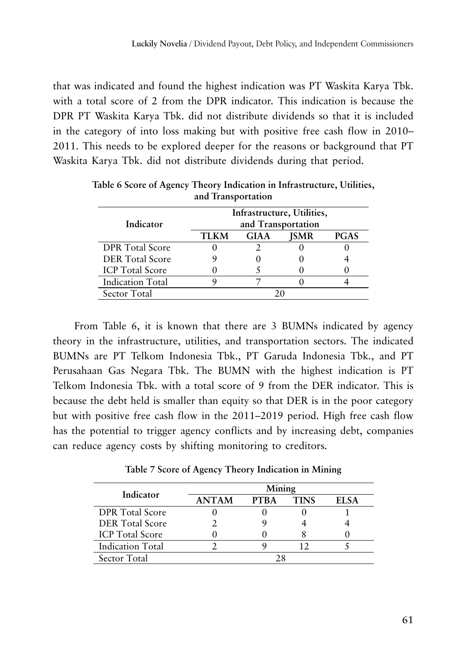that was indicated and found the highest indication was PT Waskita Karya Tbk. with a total score of 2 from the DPR indicator. This indication is because the DPR PT Waskita Karya Tbk. did not distribute dividends so that it is included in the category of into loss making but with positive free cash flow in 2010– 2011. This needs to be explored deeper for the reasons or background that PT Waskita Karya Tbk. did not distribute dividends during that period.

|                         |                    |       | Infrastructure, Utilities, |             |  |  |
|-------------------------|--------------------|-------|----------------------------|-------------|--|--|
| Indicator               | and Transportation |       |                            |             |  |  |
|                         | <b>TLKM</b>        | GIA A | ISMR                       | <b>PGAS</b> |  |  |
| <b>DPR</b> Total Score  |                    |       |                            |             |  |  |
| <b>DER</b> Total Score  |                    |       |                            |             |  |  |
| <b>ICP</b> Total Score  |                    |       |                            |             |  |  |
| <b>Indication Total</b> |                    |       |                            |             |  |  |
| Sector Total            |                    |       |                            |             |  |  |

| Table 6 Score of Agency Theory Indication in Infrastructure, Utilities, |  |
|-------------------------------------------------------------------------|--|
| and Transportation                                                      |  |

From Table 6, it is known that there are 3 BUMNs indicated by agency theory in the infrastructure, utilities, and transportation sectors. The indicated BUMNs are PT Telkom Indonesia Tbk., PT Garuda Indonesia Tbk., and PT Perusahaan Gas Negara Tbk. The BUMN with the highest indication is PT Telkom Indonesia Tbk. with a total score of 9 from the DER indicator. This is because the debt held is smaller than equity so that DER is in the poor category but with positive free cash flow in the 2011–2019 period. High free cash flow has the potential to trigger agency conflicts and by increasing debt, companies can reduce agency costs by shifting monitoring to creditors.

| Indicator               | Mining       |             |             |       |  |
|-------------------------|--------------|-------------|-------------|-------|--|
|                         | <b>ANTAM</b> | <b>PTRA</b> | <b>TINS</b> | EI SA |  |
| <b>DPR</b> Total Score  |              |             |             |       |  |
| <b>DER</b> Total Score  |              |             |             |       |  |
| <b>ICP</b> Total Score  |              |             |             |       |  |
| <b>Indication Total</b> |              |             |             |       |  |
| Sector Total            |              |             |             |       |  |

**Table 7 Score of Agency Theory Indication in Mining**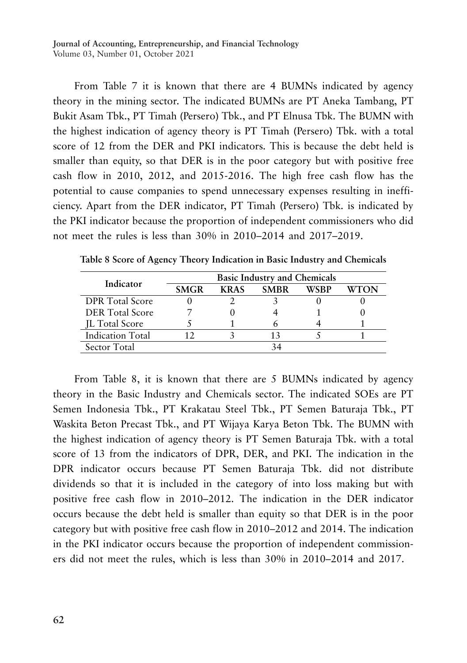From Table 7 it is known that there are 4 BUMNs indicated by agency theory in the mining sector. The indicated BUMNs are PT Aneka Tambang, PT Bukit Asam Tbk., PT Timah (Persero) Tbk., and PT Elnusa Tbk. The BUMN with the highest indication of agency theory is PT Timah (Persero) Tbk. with a total score of 12 from the DER and PKI indicators. This is because the debt held is smaller than equity, so that DER is in the poor category but with positive free cash flow in 2010, 2012, and 2015-2016. The high free cash flow has the potential to cause companies to spend unnecessary expenses resulting in inefficiency. Apart from the DER indicator, PT Timah (Persero) Tbk. is indicated by the PKI indicator because the proportion of independent commissioners who did not meet the rules is less than 30% in 2010–2014 and 2017–2019.

| Indicator              | <b>Basic Industry and Chemicals</b> |      |             |      |             |
|------------------------|-------------------------------------|------|-------------|------|-------------|
|                        | <b>SMGR</b>                         | KRAS | <b>SMRR</b> | WSBP | <b>WTON</b> |
| <b>DPR</b> Total Score |                                     |      |             |      |             |
| <b>DER</b> Total Score |                                     |      |             |      |             |
| <b>IL Total Score</b>  |                                     |      |             |      |             |
| Indication Total       |                                     |      |             |      |             |
| Sector Total           |                                     |      |             |      |             |

**Table 8 Score of Agency Theory Indication in Basic Industry and Chemicals**

From Table 8, it is known that there are 5 BUMNs indicated by agency theory in the Basic Industry and Chemicals sector. The indicated SOEs are PT Semen Indonesia Tbk., PT Krakatau Steel Tbk., PT Semen Baturaja Tbk., PT Waskita Beton Precast Tbk., and PT Wijaya Karya Beton Tbk. The BUMN with the highest indication of agency theory is PT Semen Baturaja Tbk. with a total score of 13 from the indicators of DPR, DER, and PKI. The indication in the DPR indicator occurs because PT Semen Baturaja Tbk. did not distribute dividends so that it is included in the category of into loss making but with positive free cash flow in 2010–2012. The indication in the DER indicator occurs because the debt held is smaller than equity so that DER is in the poor category but with positive free cash flow in 2010–2012 and 2014. The indication in the PKI indicator occurs because the proportion of independent commissioners did not meet the rules, which is less than 30% in 2010–2014 and 2017.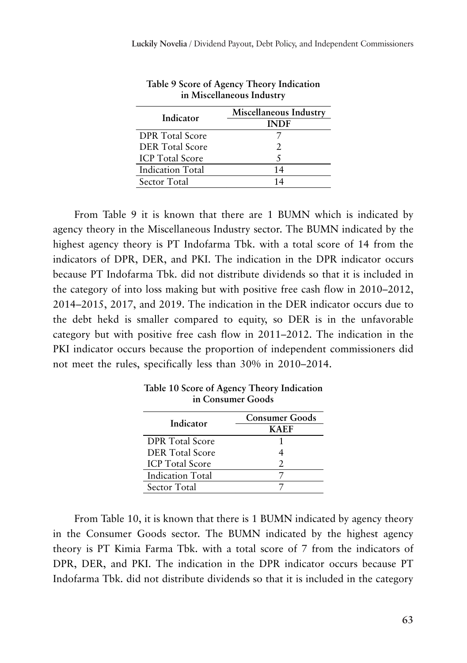| III IVIISUUHAIIUUUS IIIUUSII Y |                             |  |  |  |
|--------------------------------|-----------------------------|--|--|--|
| Indicator                      | Miscellaneous Industry      |  |  |  |
|                                | <b>INDF</b>                 |  |  |  |
| <b>DPR</b> Total Score         |                             |  |  |  |
| <b>DER</b> Total Score         | $\mathcal{D}_{\mathcal{A}}$ |  |  |  |
| <b>ICP</b> Total Score         | 5                           |  |  |  |
| Indication Total               | 14                          |  |  |  |
| Sector Total                   | 14                          |  |  |  |

| Table 9 Score of Agency Theory Indication |
|-------------------------------------------|
| in Miscellaneous Industry                 |

From Table 9 it is known that there are 1 BUMN which is indicated by agency theory in the Miscellaneous Industry sector. The BUMN indicated by the highest agency theory is PT Indofarma Tbk. with a total score of 14 from the indicators of DPR, DER, and PKI. The indication in the DPR indicator occurs because PT Indofarma Tbk. did not distribute dividends so that it is included in the category of into loss making but with positive free cash flow in 2010–2012, 2014–2015, 2017, and 2019. The indication in the DER indicator occurs due to the debt hekd is smaller compared to equity, so DER is in the unfavorable category but with positive free cash flow in 2011–2012. The indication in the PKI indicator occurs because the proportion of independent commissioners did not meet the rules, specifically less than 30% in 2010–2014.

| Indicator               | Consumer Goods |
|-------------------------|----------------|
|                         | <b>KAFF</b>    |
| <b>DPR</b> Total Score  |                |
| <b>DER</b> Total Score  |                |
| <b>ICP</b> Total Score  | $\mathcal{D}$  |
| <b>Indication Total</b> |                |
| Sector Total            |                |

| Table 10 Score of Agency Theory Indication<br>in Consumer Goods |
|-----------------------------------------------------------------|
|-----------------------------------------------------------------|

From Table 10, it is known that there is 1 BUMN indicated by agency theory in the Consumer Goods sector. The BUMN indicated by the highest agency theory is PT Kimia Farma Tbk. with a total score of 7 from the indicators of DPR, DER, and PKI. The indication in the DPR indicator occurs because PT Indofarma Tbk. did not distribute dividends so that it is included in the category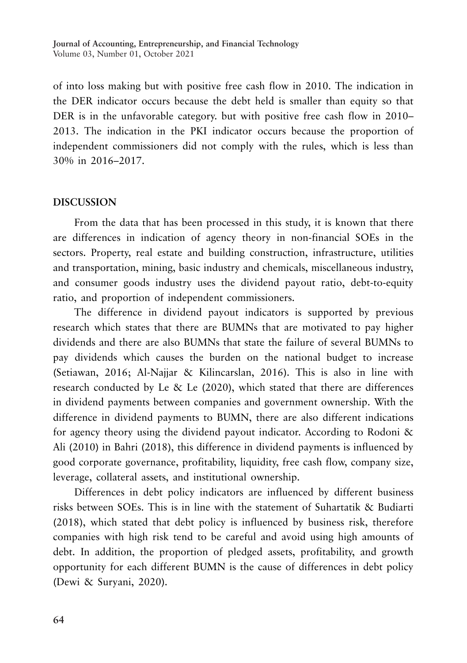of into loss making but with positive free cash flow in 2010. The indication in the DER indicator occurs because the debt held is smaller than equity so that DER is in the unfavorable category. but with positive free cash flow in 2010– 2013. The indication in the PKI indicator occurs because the proportion of independent commissioners did not comply with the rules, which is less than 30% in 2016–2017.

## **DISCUSSION**

From the data that has been processed in this study, it is known that there are differences in indication of agency theory in non-financial SOEs in the sectors. Property, real estate and building construction, infrastructure, utilities and transportation, mining, basic industry and chemicals, miscellaneous industry, and consumer goods industry uses the dividend payout ratio, debt-to-equity ratio, and proportion of independent commissioners.

The difference in dividend payout indicators is supported by previous research which states that there are BUMNs that are motivated to pay higher dividends and there are also BUMNs that state the failure of several BUMNs to pay dividends which causes the burden on the national budget to increase (Setiawan, 2016; Al-Najjar & Kilincarslan, 2016). This is also in line with research conducted by Le & Le (2020), which stated that there are differences in dividend payments between companies and government ownership. With the difference in dividend payments to BUMN, there are also different indications for agency theory using the dividend payout indicator. According to Rodoni & Ali (2010) in Bahri (2018), this difference in dividend payments is influenced by good corporate governance, profitability, liquidity, free cash flow, company size, leverage, collateral assets, and institutional ownership.

Differences in debt policy indicators are influenced by different business risks between SOEs. This is in line with the statement of Suhartatik & Budiarti (2018), which stated that debt policy is influenced by business risk, therefore companies with high risk tend to be careful and avoid using high amounts of debt. In addition, the proportion of pledged assets, profitability, and growth opportunity for each different BUMN is the cause of differences in debt policy (Dewi & Suryani, 2020).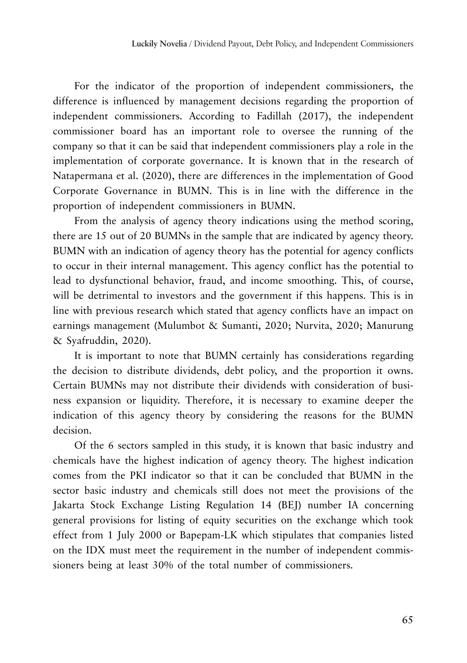For the indicator of the proportion of independent commissioners, the difference is influenced by management decisions regarding the proportion of independent commissioners. According to Fadillah (2017), the independent commissioner board has an important role to oversee the running of the company so that it can be said that independent commissioners play a role in the implementation of corporate governance. It is known that in the research of Natapermana et al. (2020), there are differences in the implementation of Good Corporate Governance in BUMN. This is in line with the difference in the proportion of independent commissioners in BUMN.

From the analysis of agency theory indications using the method scoring, there are 15 out of 20 BUMNs in the sample that are indicated by agency theory. BUMN with an indication of agency theory has the potential for agency conflicts to occur in their internal management. This agency conflict has the potential to lead to dysfunctional behavior, fraud, and income smoothing. This, of course, will be detrimental to investors and the government if this happens. This is in line with previous research which stated that agency conflicts have an impact on earnings management (Mulumbot & Sumanti, 2020; Nurvita, 2020; Manurung & Syafruddin, 2020).

It is important to note that BUMN certainly has considerations regarding the decision to distribute dividends, debt policy, and the proportion it owns. Certain BUMNs may not distribute their dividends with consideration of business expansion or liquidity. Therefore, it is necessary to examine deeper the indication of this agency theory by considering the reasons for the BUMN decision.

Of the 6 sectors sampled in this study, it is known that basic industry and chemicals have the highest indication of agency theory. The highest indication comes from the PKI indicator so that it can be concluded that BUMN in the sector basic industry and chemicals still does not meet the provisions of the Jakarta Stock Exchange Listing Regulation 14 (BEJ) number IA concerning general provisions for listing of equity securities on the exchange which took effect from 1 July 2000 or Bapepam-LK which stipulates that companies listed on the IDX must meet the requirement in the number of independent commissioners being at least 30% of the total number of commissioners.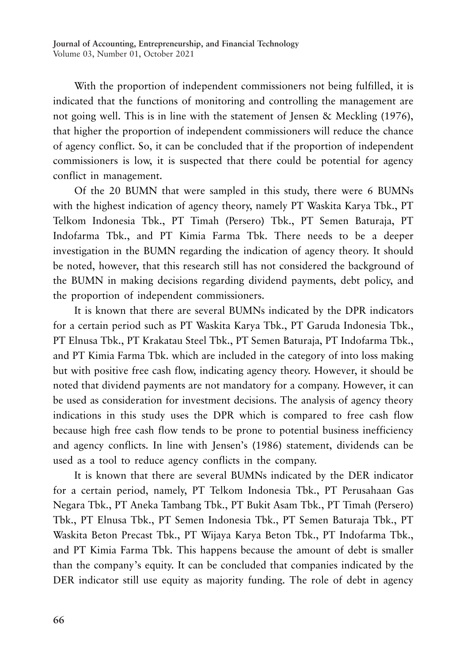With the proportion of independent commissioners not being fulfilled, it is indicated that the functions of monitoring and controlling the management are not going well. This is in line with the statement of Jensen & Meckling  $(1976)$ , that higher the proportion of independent commissioners will reduce the chance of agency conflict. So, it can be concluded that if the proportion of independent commissioners is low, it is suspected that there could be potential for agency conflict in management.

Of the 20 BUMN that were sampled in this study, there were 6 BUMNs with the highest indication of agency theory, namely PT Waskita Karya Tbk., PT Telkom Indonesia Tbk., PT Timah (Persero) Tbk., PT Semen Baturaja, PT Indofarma Tbk., and PT Kimia Farma Tbk. There needs to be a deeper investigation in the BUMN regarding the indication of agency theory. It should be noted, however, that this research still has not considered the background of the BUMN in making decisions regarding dividend payments, debt policy, and the proportion of independent commissioners.

It is known that there are several BUMNs indicated by the DPR indicators for a certain period such as PT Waskita Karya Tbk., PT Garuda Indonesia Tbk., PT Elnusa Tbk., PT Krakatau Steel Tbk., PT Semen Baturaja, PT Indofarma Tbk., and PT Kimia Farma Tbk. which are included in the category of into loss making but with positive free cash flow, indicating agency theory. However, it should be noted that dividend payments are not mandatory for a company. However, it can be used as consideration for investment decisions. The analysis of agency theory indications in this study uses the DPR which is compared to free cash flow because high free cash flow tends to be prone to potential business inefficiency and agency conflicts. In line with Jensen's (1986) statement, dividends can be used as a tool to reduce agency conflicts in the company.

It is known that there are several BUMNs indicated by the DER indicator for a certain period, namely, PT Telkom Indonesia Tbk., PT Perusahaan Gas Negara Tbk., PT Aneka Tambang Tbk., PT Bukit Asam Tbk., PT Timah (Persero) Tbk., PT Elnusa Tbk., PT Semen Indonesia Tbk., PT Semen Baturaja Tbk., PT Waskita Beton Precast Tbk., PT Wijaya Karya Beton Tbk., PT Indofarma Tbk., and PT Kimia Farma Tbk. This happens because the amount of debt is smaller than the company's equity. It can be concluded that companies indicated by the DER indicator still use equity as majority funding. The role of debt in agency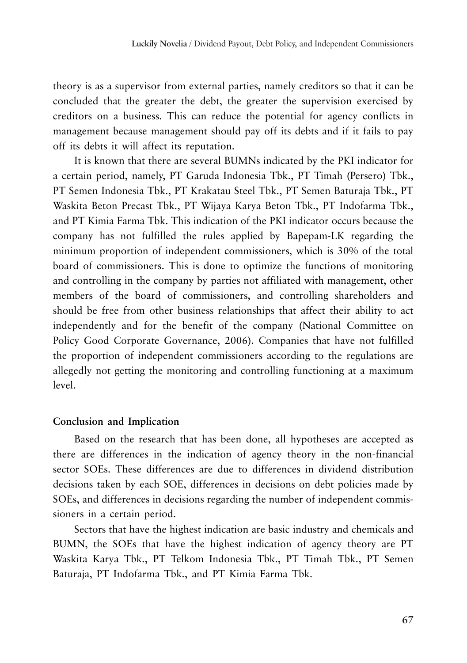theory is as a supervisor from external parties, namely creditors so that it can be concluded that the greater the debt, the greater the supervision exercised by creditors on a business. This can reduce the potential for agency conflicts in management because management should pay off its debts and if it fails to pay off its debts it will affect its reputation.

It is known that there are several BUMNs indicated by the PKI indicator for a certain period, namely, PT Garuda Indonesia Tbk., PT Timah (Persero) Tbk., PT Semen Indonesia Tbk., PT Krakatau Steel Tbk., PT Semen Baturaja Tbk., PT Waskita Beton Precast Tbk., PT Wijaya Karya Beton Tbk., PT Indofarma Tbk., and PT Kimia Farma Tbk. This indication of the PKI indicator occurs because the company has not fulfilled the rules applied by Bapepam-LK regarding the minimum proportion of independent commissioners, which is 30% of the total board of commissioners. This is done to optimize the functions of monitoring and controlling in the company by parties not affiliated with management, other members of the board of commissioners, and controlling shareholders and should be free from other business relationships that affect their ability to act independently and for the benefit of the company (National Committee on Policy Good Corporate Governance, 2006). Companies that have not fulfilled the proportion of independent commissioners according to the regulations are allegedly not getting the monitoring and controlling functioning at a maximum level.

#### **Conclusion and Implication**

Based on the research that has been done, all hypotheses are accepted as there are differences in the indication of agency theory in the non-financial sector SOEs. These differences are due to differences in dividend distribution decisions taken by each SOE, differences in decisions on debt policies made by SOEs, and differences in decisions regarding the number of independent commissioners in a certain period.

Sectors that have the highest indication are basic industry and chemicals and BUMN, the SOEs that have the highest indication of agency theory are PT Waskita Karya Tbk., PT Telkom Indonesia Tbk., PT Timah Tbk., PT Semen Baturaja, PT Indofarma Tbk., and PT Kimia Farma Tbk.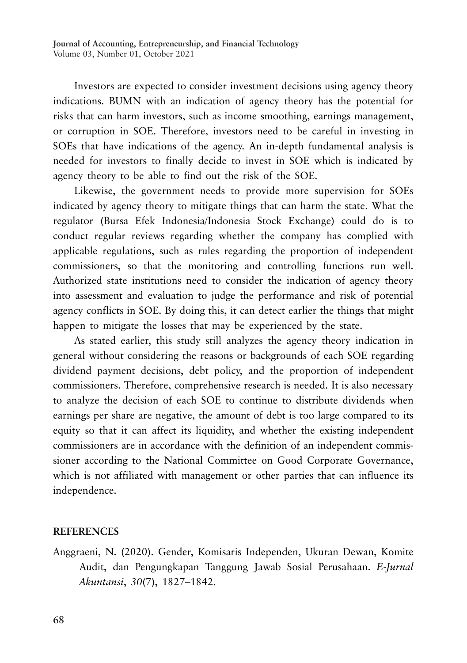Investors are expected to consider investment decisions using agency theory indications. BUMN with an indication of agency theory has the potential for risks that can harm investors, such as income smoothing, earnings management, or corruption in SOE. Therefore, investors need to be careful in investing in SOEs that have indications of the agency. An in-depth fundamental analysis is needed for investors to finally decide to invest in SOE which is indicated by agency theory to be able to find out the risk of the SOE.

Likewise, the government needs to provide more supervision for SOEs indicated by agency theory to mitigate things that can harm the state. What the regulator (Bursa Efek Indonesia/Indonesia Stock Exchange) could do is to conduct regular reviews regarding whether the company has complied with applicable regulations, such as rules regarding the proportion of independent commissioners, so that the monitoring and controlling functions run well. Authorized state institutions need to consider the indication of agency theory into assessment and evaluation to judge the performance and risk of potential agency conflicts in SOE. By doing this, it can detect earlier the things that might happen to mitigate the losses that may be experienced by the state.

As stated earlier, this study still analyzes the agency theory indication in general without considering the reasons or backgrounds of each SOE regarding dividend payment decisions, debt policy, and the proportion of independent commissioners. Therefore, comprehensive research is needed. It is also necessary to analyze the decision of each SOE to continue to distribute dividends when earnings per share are negative, the amount of debt is too large compared to its equity so that it can affect its liquidity, and whether the existing independent commissioners are in accordance with the definition of an independent commissioner according to the National Committee on Good Corporate Governance, which is not affiliated with management or other parties that can influence its independence.

### **REFERENCES**

Anggraeni, N. (2020). Gender, Komisaris Independen, Ukuran Dewan, Komite Audit, dan Pengungkapan Tanggung Jawab Sosial Perusahaan. *E-Jurnal Akuntansi*, *30*(7), 1827–1842.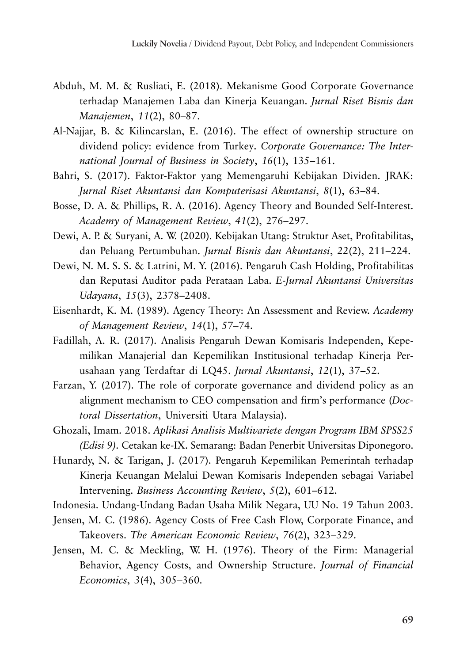- Abduh, M. M. & Rusliati, E. (2018). Mekanisme Good Corporate Governance terhadap Manajemen Laba dan Kinerja Keuangan. *Jurnal Riset Bisnis dan Manajemen*, *11*(2), 80–87.
- Al-Najjar, B. & Kilincarslan, E. (2016). The effect of ownership structure on dividend policy: evidence from Turkey*. Corporate Governance: The International Journal of Business in Society*, *16*(1), 135–161.
- Bahri, S. (2017). Faktor-Faktor yang Memengaruhi Kebijakan Dividen. JRAK: *Jurnal Riset Akuntansi dan Komputerisasi Akuntansi*, *8*(1), 63–84.
- Bosse, D. A. & Phillips, R. A. (2016). Agency Theory and Bounded Self-Interest. *Academy of Management Review*, *41*(2), 276–297.
- Dewi, A. P. & Suryani, A. W. (2020). Kebijakan Utang: Struktur Aset, Profitabilitas, dan Peluang Pertumbuhan. *Jurnal Bisnis dan Akuntansi*, *22*(2), 211–224.
- Dewi, N. M. S. S. & Latrini, M. Y. (2016). Pengaruh Cash Holding, Profitabilitas dan Reputasi Auditor pada Perataan Laba. *E-Jurnal Akuntansi Universitas Udayana*, *15*(3), 2378–2408.
- Eisenhardt, K. M. (1989). Agency Theory: An Assessment and Review. *Academy of Management Review*, *14*(1), 57–74.
- Fadillah, A. R. (2017). Analisis Pengaruh Dewan Komisaris Independen, Kepemilikan Manajerial dan Kepemilikan Institusional terhadap Kinerja Perusahaan yang Terdaftar di LQ45. *Jurnal Akuntansi*, *12*(1), 37–52.
- Farzan, Y. (2017). The role of corporate governance and dividend policy as an alignment mechanism to CEO compensation and firm's performance (*Doctoral Dissertation*, Universiti Utara Malaysia).
- Ghozali, Imam. 2018. *Aplikasi Analisis Multivariete dengan Program IBM SPSS25 (Edisi 9)*. Cetakan ke-IX. Semarang: Badan Penerbit Universitas Diponegoro.
- Hunardy, N. & Tarigan, J. (2017). Pengaruh Kepemilikan Pemerintah terhadap Kinerja Keuangan Melalui Dewan Komisaris Independen sebagai Variabel Intervening. *Business Accounting Review*, *5*(2), 601–612.
- Indonesia. Undang-Undang Badan Usaha Milik Negara, UU No. 19 Tahun 2003.
- Jensen, M. C. (1986). Agency Costs of Free Cash Flow, Corporate Finance, and Takeovers. *The American Economic Review*, *76*(2), 323–329.
- Jensen, M. C. & Meckling, W. H. (1976). Theory of the Firm: Managerial Behavior, Agency Costs, and Ownership Structure. *Journal of Financial Economics*, *3*(4), 305–360.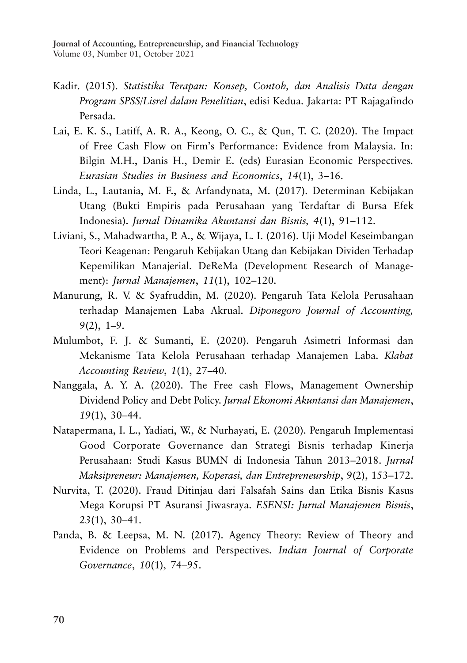- Kadir. (2015). *Statistika Terapan: Konsep, Contoh, dan Analisis Data dengan Program SPSS/Lisrel dalam Penelitian*, edisi Kedua. Jakarta: PT Rajagafindo Persada.
- Lai, E. K. S., Latiff, A. R. A., Keong, O. C., & Qun, T. C. (2020). The Impact of Free Cash Flow on Firm's Performance: Evidence from Malaysia. In: Bilgin M.H., Danis H., Demir E. (eds) Eurasian Economic Perspectives*. Eurasian Studies in Business and Economics*, *14*(1), 3–16.
- Linda, L., Lautania, M. F., & Arfandynata, M. (2017). Determinan Kebijakan Utang (Bukti Empiris pada Perusahaan yang Terdaftar di Bursa Efek Indonesia). *Jurnal Dinamika Akuntansi dan Bisnis, 4*(1), 91–112.
- Liviani, S., Mahadwartha, P. A., & Wijaya, L. I. (2016). Uji Model Keseimbangan Teori Keagenan: Pengaruh Kebijakan Utang dan Kebijakan Dividen Terhadap Kepemilikan Manajerial. DeReMa (Development Research of Management): *Jurnal Manajemen*, *11*(1), 102–120.
- Manurung, R. V. & Syafruddin, M. (2020). Pengaruh Tata Kelola Perusahaan terhadap Manajemen Laba Akrual. *Diponegoro Journal of Accounting, 9*(2), 1–9.
- Mulumbot, F. J. & Sumanti, E. (2020). Pengaruh Asimetri Informasi dan Mekanisme Tata Kelola Perusahaan terhadap Manajemen Laba. *Klabat Accounting Review*, *1*(1), 27–40.
- Nanggala, A. Y. A. (2020). The Free cash Flows, Management Ownership Dividend Policy and Debt Policy. *Jurnal Ekonomi Akuntansi dan Manajemen*, *19*(1), 30–44.
- Natapermana, I. L., Yadiati, W., & Nurhayati, E. (2020). Pengaruh Implementasi Good Corporate Governance dan Strategi Bisnis terhadap Kinerja Perusahaan: Studi Kasus BUMN di Indonesia Tahun 2013–2018. *Jurnal Maksipreneur: Manajemen, Koperasi, dan Entrepreneurship*, *9*(2), 153–172.
- Nurvita, T. (2020). Fraud Ditinjau dari Falsafah Sains dan Etika Bisnis Kasus Mega Korupsi PT Asuransi Jiwasraya. *ESENSI: Jurnal Manajemen Bisnis*, *23*(1), 30–41.
- Panda, B. & Leepsa, M. N. (2017). Agency Theory: Review of Theory and Evidence on Problems and Perspectives. *Indian Journal of Corporate Governance*, *10*(1), 74–95.